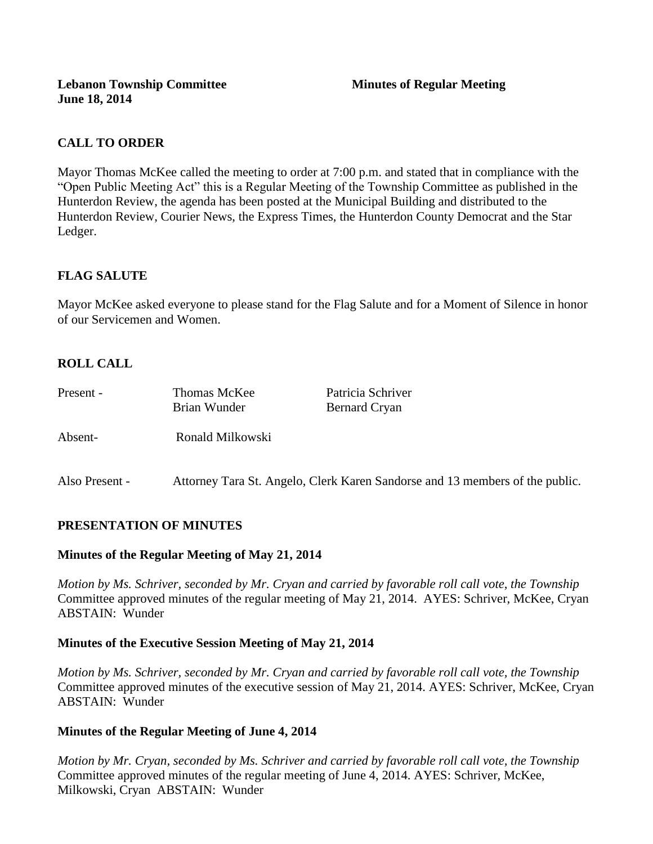**Lebanon Township Committee 3 2008 Minutes of Regular Meeting June 18, 2014**

## **CALL TO ORDER**

Mayor Thomas McKee called the meeting to order at 7:00 p.m. and stated that in compliance with the "Open Public Meeting Act" this is a Regular Meeting of the Township Committee as published in the Hunterdon Review, the agenda has been posted at the Municipal Building and distributed to the Hunterdon Review, Courier News, the Express Times, the Hunterdon County Democrat and the Star Ledger.

## **FLAG SALUTE**

Mayor McKee asked everyone to please stand for the Flag Salute and for a Moment of Silence in honor of our Servicemen and Women.

## **ROLL CALL**

| Present -      | Thomas McKee                                                                 | Patricia Schriver    |
|----------------|------------------------------------------------------------------------------|----------------------|
|                | Brian Wunder                                                                 | <b>Bernard Cryan</b> |
|                |                                                                              |                      |
| Absent-        | Ronald Milkowski                                                             |                      |
|                |                                                                              |                      |
| Also Present - | Attorney Tara St. Angelo, Clerk Karen Sandorse and 13 members of the public. |                      |

#### **PRESENTATION OF MINUTES**

#### **Minutes of the Regular Meeting of May 21, 2014**

*Motion by Ms. Schriver, seconded by Mr. Cryan and carried by favorable roll call vote, the Township* Committee approved minutes of the regular meeting of May 21, 2014. AYES: Schriver, McKee, Cryan ABSTAIN: Wunder

#### **Minutes of the Executive Session Meeting of May 21, 2014**

*Motion by Ms. Schriver, seconded by Mr. Cryan and carried by favorable roll call vote, the Township* Committee approved minutes of the executive session of May 21, 2014. AYES: Schriver, McKee, Cryan ABSTAIN: Wunder

#### **Minutes of the Regular Meeting of June 4, 2014**

*Motion by Mr. Cryan, seconded by Ms. Schriver and carried by favorable roll call vote, the Township* Committee approved minutes of the regular meeting of June 4, 2014. AYES: Schriver, McKee, Milkowski, Cryan ABSTAIN: Wunder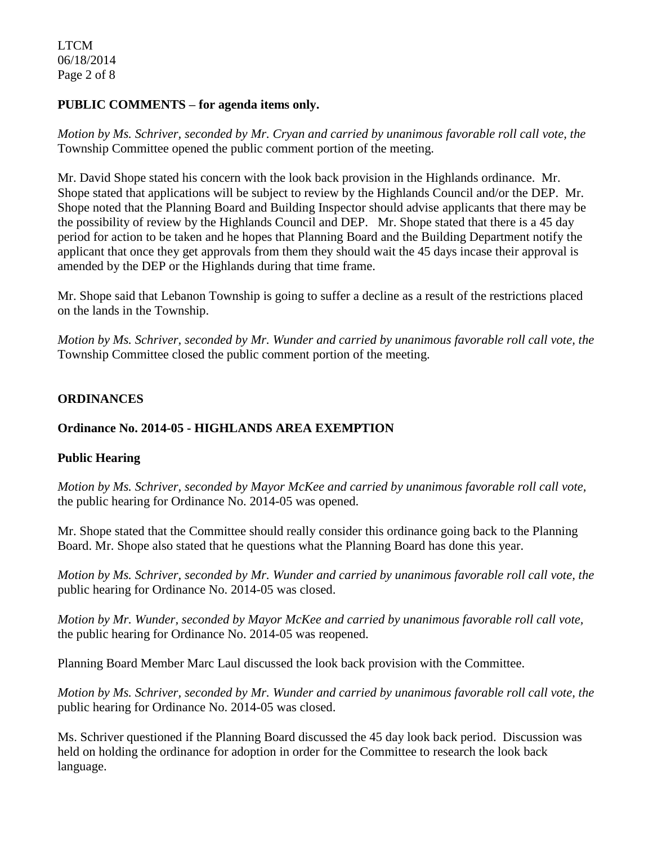LTCM 06/18/2014 Page 2 of 8

#### **PUBLIC COMMENTS – for agenda items only.**

*Motion by Ms. Schriver, seconded by Mr. Cryan and carried by unanimous favorable roll call vote, the* Township Committee opened the public comment portion of the meeting.

Mr. David Shope stated his concern with the look back provision in the Highlands ordinance. Mr. Shope stated that applications will be subject to review by the Highlands Council and/or the DEP. Mr. Shope noted that the Planning Board and Building Inspector should advise applicants that there may be the possibility of review by the Highlands Council and DEP. Mr. Shope stated that there is a 45 day period for action to be taken and he hopes that Planning Board and the Building Department notify the applicant that once they get approvals from them they should wait the 45 days incase their approval is amended by the DEP or the Highlands during that time frame.

Mr. Shope said that Lebanon Township is going to suffer a decline as a result of the restrictions placed on the lands in the Township.

*Motion by Ms. Schriver, seconded by Mr. Wunder and carried by unanimous favorable roll call vote, the* Township Committee closed the public comment portion of the meeting.

## **ORDINANCES**

## **Ordinance No. 2014-05 - HIGHLANDS AREA EXEMPTION**

## **Public Hearing**

*Motion by Ms. Schriver, seconded by Mayor McKee and carried by unanimous favorable roll call vote,* the public hearing for Ordinance No. 2014-05 was opened.

Mr. Shope stated that the Committee should really consider this ordinance going back to the Planning Board. Mr. Shope also stated that he questions what the Planning Board has done this year.

*Motion by Ms. Schriver, seconded by Mr. Wunder and carried by unanimous favorable roll call vote, the* public hearing for Ordinance No. 2014-05 was closed.

*Motion by Mr. Wunder, seconded by Mayor McKee and carried by unanimous favorable roll call vote,* the public hearing for Ordinance No. 2014-05 was reopened.

Planning Board Member Marc Laul discussed the look back provision with the Committee.

*Motion by Ms. Schriver, seconded by Mr. Wunder and carried by unanimous favorable roll call vote, the* public hearing for Ordinance No. 2014-05 was closed.

Ms. Schriver questioned if the Planning Board discussed the 45 day look back period. Discussion was held on holding the ordinance for adoption in order for the Committee to research the look back language.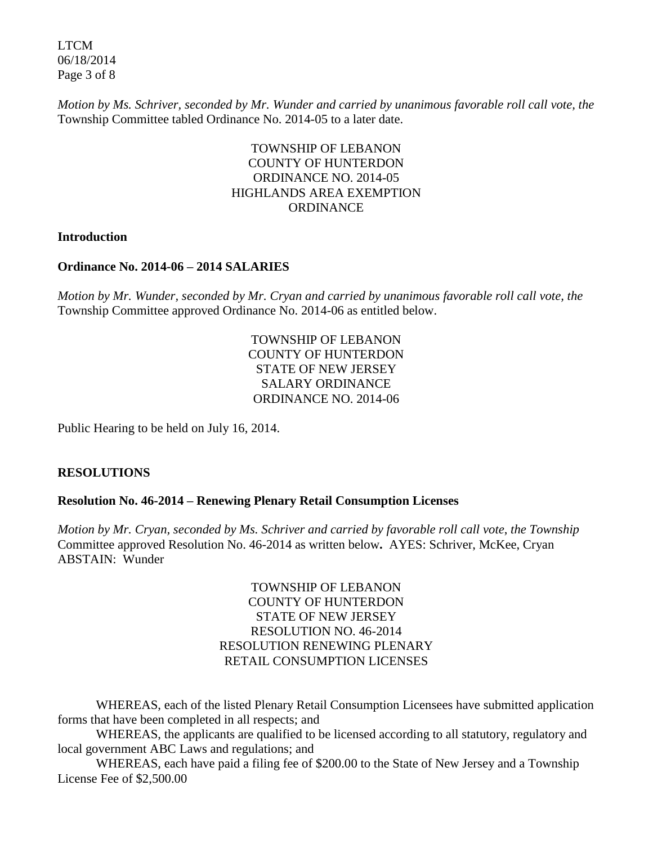LTCM 06/18/2014 Page 3 of 8

*Motion by Ms. Schriver, seconded by Mr. Wunder and carried by unanimous favorable roll call vote, the* Township Committee tabled Ordinance No. 2014-05 to a later date.

## TOWNSHIP OF LEBANON COUNTY OF HUNTERDON ORDINANCE NO. 2014-05 HIGHLANDS AREA EXEMPTION **ORDINANCE**

#### **Introduction**

#### **Ordinance No. 2014-06 – 2014 SALARIES**

*Motion by Mr. Wunder, seconded by Mr. Cryan and carried by unanimous favorable roll call vote, the* Township Committee approved Ordinance No. 2014-06 as entitled below.

> TOWNSHIP OF LEBANON COUNTY OF HUNTERDON STATE OF NEW JERSEY SALARY ORDINANCE ORDINANCE NO. 2014-06

Public Hearing to be held on July 16, 2014.

#### **RESOLUTIONS**

#### **Resolution No. 46-2014 – Renewing Plenary Retail Consumption Licenses**

*Motion by Mr. Cryan, seconded by Ms. Schriver and carried by favorable roll call vote*, *the Township*  Committee approved Resolution No. 46-2014 as written below**.** AYES: Schriver, McKee, Cryan ABSTAIN: Wunder

> TOWNSHIP OF LEBANON COUNTY OF HUNTERDON STATE OF NEW JERSEY RESOLUTION NO. 46-2014 RESOLUTION RENEWING PLENARY RETAIL CONSUMPTION LICENSES

WHEREAS, each of the listed Plenary Retail Consumption Licensees have submitted application forms that have been completed in all respects; and

WHEREAS, the applicants are qualified to be licensed according to all statutory, regulatory and local government ABC Laws and regulations; and

WHEREAS, each have paid a filing fee of \$200.00 to the State of New Jersey and a Township License Fee of \$2,500.00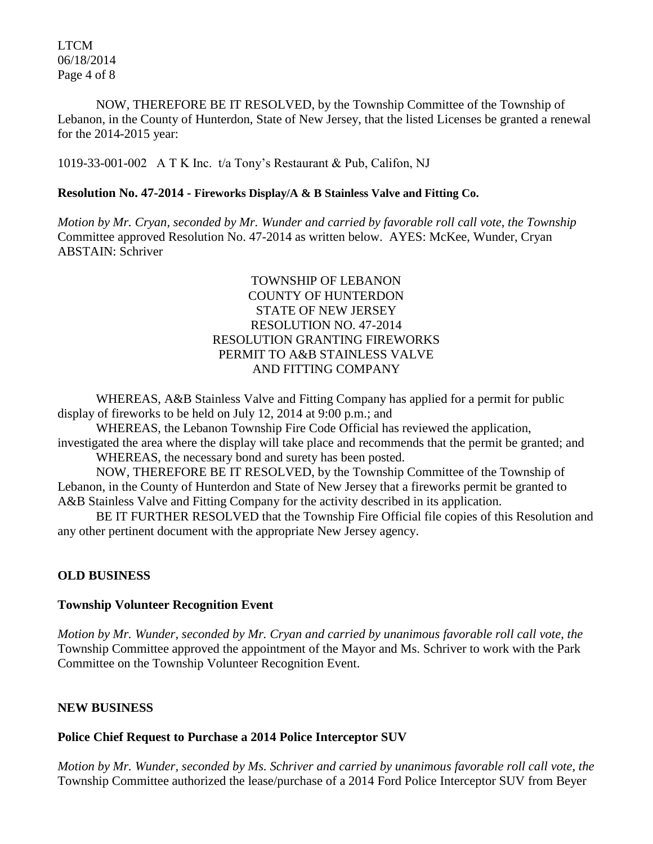LTCM 06/18/2014 Page 4 of 8

NOW, THEREFORE BE IT RESOLVED, by the Township Committee of the Township of Lebanon, in the County of Hunterdon, State of New Jersey, that the listed Licenses be granted a renewal for the 2014-2015 year:

1019-33-001-002 A T K Inc. t/a Tony's Restaurant & Pub, Califon, NJ

#### **Resolution No. 47-2014 - Fireworks Display/A & B Stainless Valve and Fitting Co.**

*Motion by Mr. Cryan, seconded by Mr. Wunder and carried by favorable roll call vote*, *the Township* Committee approved Resolution No. 47-2014 as written below. AYES: McKee, Wunder, Cryan ABSTAIN: Schriver

## TOWNSHIP OF LEBANON COUNTY OF HUNTERDON STATE OF NEW JERSEY RESOLUTION NO. 47-2014 RESOLUTION GRANTING FIREWORKS PERMIT TO A&B STAINLESS VALVE AND FITTING COMPANY

WHEREAS, A&B Stainless Valve and Fitting Company has applied for a permit for public display of fireworks to be held on July 12, 2014 at 9:00 p.m.; and

WHEREAS, the Lebanon Township Fire Code Official has reviewed the application, investigated the area where the display will take place and recommends that the permit be granted; and

WHEREAS, the necessary bond and surety has been posted.

NOW, THEREFORE BE IT RESOLVED, by the Township Committee of the Township of Lebanon, in the County of Hunterdon and State of New Jersey that a fireworks permit be granted to A&B Stainless Valve and Fitting Company for the activity described in its application.

BE IT FURTHER RESOLVED that the Township Fire Official file copies of this Resolution and any other pertinent document with the appropriate New Jersey agency.

## **OLD BUSINESS**

#### **Township Volunteer Recognition Event**

*Motion by Mr. Wunder, seconded by Mr. Cryan and carried by unanimous favorable roll call vote*, *the* Township Committee approved the appointment of the Mayor and Ms. Schriver to work with the Park Committee on the Township Volunteer Recognition Event.

## **NEW BUSINESS**

## **Police Chief Request to Purchase a 2014 Police Interceptor SUV**

*Motion by Mr. Wunder, seconded by Ms. Schriver and carried by unanimous favorable roll call vote*, *the* Township Committee authorized the lease/purchase of a 2014 Ford Police Interceptor SUV from Beyer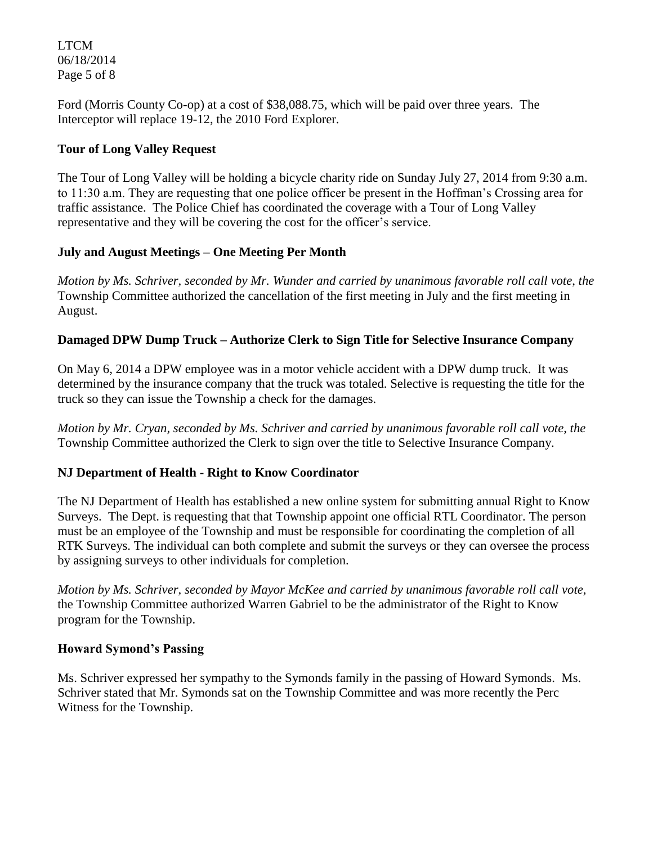LTCM 06/18/2014 Page 5 of 8

Ford (Morris County Co-op) at a cost of \$38,088.75, which will be paid over three years. The Interceptor will replace 19-12, the 2010 Ford Explorer.

## **Tour of Long Valley Request**

The Tour of Long Valley will be holding a bicycle charity ride on Sunday July 27, 2014 from 9:30 a.m. to 11:30 a.m. They are requesting that one police officer be present in the Hoffman's Crossing area for traffic assistance. The Police Chief has coordinated the coverage with a Tour of Long Valley representative and they will be covering the cost for the officer's service.

# **July and August Meetings – One Meeting Per Month**

*Motion by Ms. Schriver, seconded by Mr. Wunder and carried by unanimous favorable roll call vote*, *the* Township Committee authorized the cancellation of the first meeting in July and the first meeting in August.

# **Damaged DPW Dump Truck – Authorize Clerk to Sign Title for Selective Insurance Company**

On May 6, 2014 a DPW employee was in a motor vehicle accident with a DPW dump truck. It was determined by the insurance company that the truck was totaled. Selective is requesting the title for the truck so they can issue the Township a check for the damages.

*Motion by Mr. Cryan, seconded by Ms. Schriver and carried by unanimous favorable roll call vote*, *the* Township Committee authorized the Clerk to sign over the title to Selective Insurance Company.

# **NJ Department of Health - Right to Know Coordinator**

The NJ Department of Health has established a new online system for submitting annual Right to Know Surveys. The Dept. is requesting that that Township appoint one official RTL Coordinator. The person must be an employee of the Township and must be responsible for coordinating the completion of all RTK Surveys. The individual can both complete and submit the surveys or they can oversee the process by assigning surveys to other individuals for completion.

*Motion by Ms. Schriver, seconded by Mayor McKee and carried by unanimous favorable roll call vote*, the Township Committee authorized Warren Gabriel to be the administrator of the Right to Know program for the Township.

## **Howard Symond's Passing**

Ms. Schriver expressed her sympathy to the Symonds family in the passing of Howard Symonds. Ms. Schriver stated that Mr. Symonds sat on the Township Committee and was more recently the Perc Witness for the Township.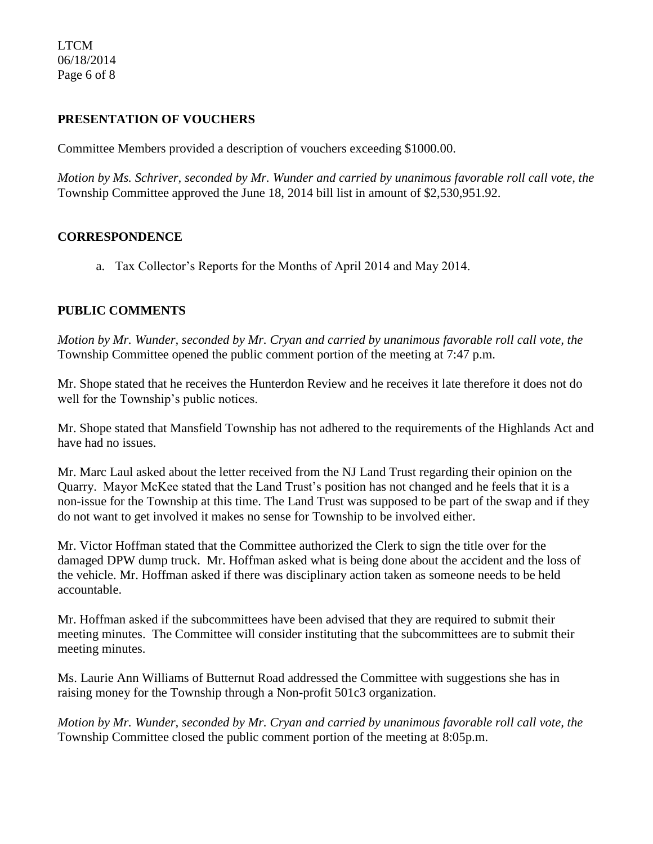LTCM 06/18/2014 Page 6 of 8

### **PRESENTATION OF VOUCHERS**

Committee Members provided a description of vouchers exceeding \$1000.00.

*Motion by Ms. Schriver, seconded by Mr. Wunder and carried by unanimous favorable roll call vote, the* Township Committee approved the June 18, 2014 bill list in amount of \$2,530,951.92.

#### **CORRESPONDENCE**

a. Tax Collector's Reports for the Months of April 2014 and May 2014.

#### **PUBLIC COMMENTS**

*Motion by Mr. Wunder, seconded by Mr. Cryan and carried by unanimous favorable roll call vote, the* Township Committee opened the public comment portion of the meeting at 7:47 p.m.

Mr. Shope stated that he receives the Hunterdon Review and he receives it late therefore it does not do well for the Township's public notices.

Mr. Shope stated that Mansfield Township has not adhered to the requirements of the Highlands Act and have had no issues.

Mr. Marc Laul asked about the letter received from the NJ Land Trust regarding their opinion on the Quarry. Mayor McKee stated that the Land Trust's position has not changed and he feels that it is a non-issue for the Township at this time. The Land Trust was supposed to be part of the swap and if they do not want to get involved it makes no sense for Township to be involved either.

Mr. Victor Hoffman stated that the Committee authorized the Clerk to sign the title over for the damaged DPW dump truck. Mr. Hoffman asked what is being done about the accident and the loss of the vehicle. Mr. Hoffman asked if there was disciplinary action taken as someone needs to be held accountable.

Mr. Hoffman asked if the subcommittees have been advised that they are required to submit their meeting minutes. The Committee will consider instituting that the subcommittees are to submit their meeting minutes.

Ms. Laurie Ann Williams of Butternut Road addressed the Committee with suggestions she has in raising money for the Township through a Non-profit 501c3 organization.

*Motion by Mr. Wunder, seconded by Mr. Cryan and carried by unanimous favorable roll call vote, the* Township Committee closed the public comment portion of the meeting at 8:05p.m.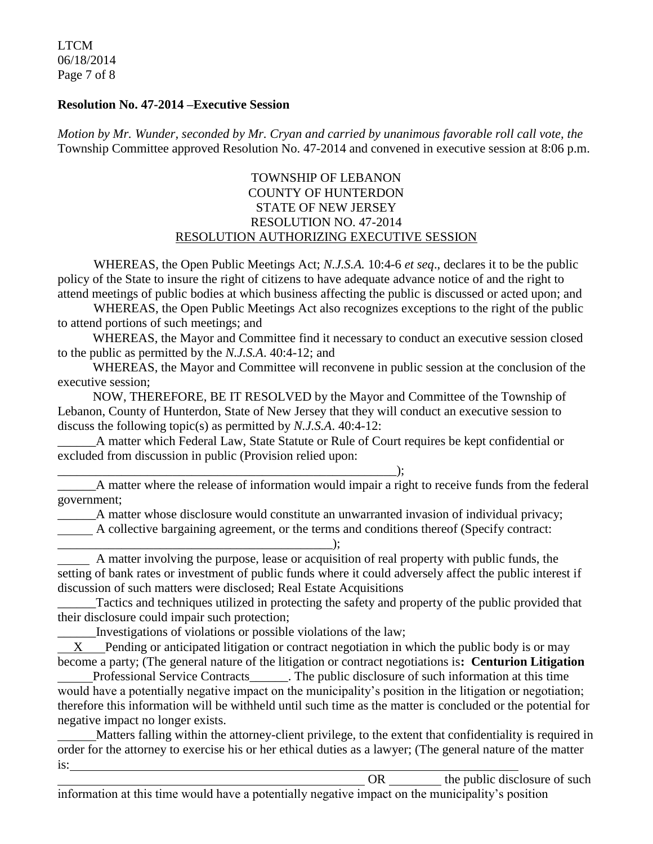LTCM 06/18/2014 Page 7 of 8

#### **Resolution No. 47-2014 –Executive Session**

*Motion by Mr. Wunder, seconded by Mr. Cryan and carried by unanimous favorable roll call vote, the* Township Committee approved Resolution No. 47-2014 and convened in executive session at 8:06 p.m.

### TOWNSHIP OF LEBANON COUNTY OF HUNTERDON STATE OF NEW JERSEY RESOLUTION NO. 47-2014 RESOLUTION AUTHORIZING EXECUTIVE SESSION

WHEREAS, the Open Public Meetings Act; *N.J.S.A.* 10:4-6 *et seq*., declares it to be the public policy of the State to insure the right of citizens to have adequate advance notice of and the right to attend meetings of public bodies at which business affecting the public is discussed or acted upon; and

WHEREAS, the Open Public Meetings Act also recognizes exceptions to the right of the public to attend portions of such meetings; and

 WHEREAS, the Mayor and Committee find it necessary to conduct an executive session closed to the public as permitted by the *N.J.S.A*. 40:4-12; and

 WHEREAS, the Mayor and Committee will reconvene in public session at the conclusion of the executive session;

 NOW, THEREFORE, BE IT RESOLVED by the Mayor and Committee of the Township of Lebanon, County of Hunterdon, State of New Jersey that they will conduct an executive session to discuss the following topic(s) as permitted by *N.J.S.A*. 40:4-12:

\_\_\_\_\_\_A matter which Federal Law, State Statute or Rule of Court requires be kept confidential or excluded from discussion in public (Provision relied upon:

\_\_\_\_\_\_\_\_\_\_\_\_\_\_\_\_\_\_\_\_\_\_\_\_\_\_\_\_\_\_\_\_\_\_\_\_\_\_\_\_\_\_\_\_\_\_\_\_\_\_\_\_\_);

\_\_\_\_\_\_A matter where the release of information would impair a right to receive funds from the federal government;

\_\_\_\_\_\_A matter whose disclosure would constitute an unwarranted invasion of individual privacy;

A collective bargaining agreement, or the terms and conditions thereof (Specify contract:

#### \_\_\_\_\_\_\_\_\_\_\_\_\_\_\_\_\_\_\_\_\_\_\_\_\_\_\_\_\_\_\_\_\_\_\_\_\_\_\_\_\_\_\_);

 A matter involving the purpose, lease or acquisition of real property with public funds, the setting of bank rates or investment of public funds where it could adversely affect the public interest if discussion of such matters were disclosed; Real Estate Acquisitions

\_\_\_\_\_\_Tactics and techniques utilized in protecting the safety and property of the public provided that their disclosure could impair such protection;

\_\_\_\_\_\_Investigations of violations or possible violations of the law;

 X Pending or anticipated litigation or contract negotiation in which the public body is or may become a party; (The general nature of the litigation or contract negotiations is**: Centurion Litigation**

Professional Service Contracts\_\_\_\_\_\_. The public disclosure of such information at this time would have a potentially negative impact on the municipality's position in the litigation or negotiation; therefore this information will be withheld until such time as the matter is concluded or the potential for negative impact no longer exists.

 Matters falling within the attorney-client privilege, to the extent that confidentiality is required in order for the attorney to exercise his or her ethical duties as a lawyer; (The general nature of the matter is:

OR the public disclosure of such  $\theta$ information at this time would have a potentially negative impact on the municipality's position